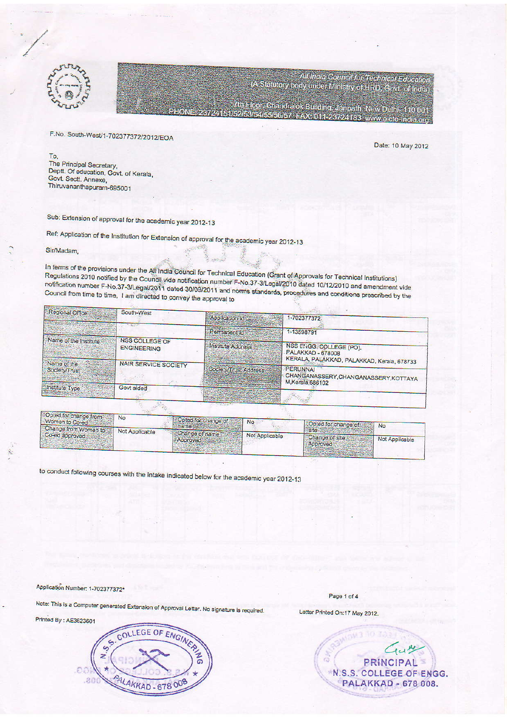



F.No. South-West/1-702377372/2012/EOA

Date: 10 May 2012

All India Council for Technical Education<br>(A Statutory body under Ministry of HRD, Govt. of India)

7th Floor, Crandralok Building, Janpath, New Delhi- 110.001

5054656667637AX60112287221886

To The Principal Secretary, Deptt. Of education, Govt. of Kerala, Govt. Sectt. Annexe, Thiruvananthapuram-695001

Sub: Extension of approval for the academic year 2012-13

Ref: Application of the Institution for Extension of approval for the academic year 2012-13

Sir/Madam,

In terms of the provisions under the All India Council for Technical Education (Grant of Approvals for Technical Institutions) Regulations 2010 notified by the Council vide notification number F-No.37-3/Legal/2010 dated 10/12/2010 and amendment vide notification number F-No.37-3/Legal/2011 dated 30/09/2011 and norms standards, procedures and conditions prescribed by the Council from time to time, I am directed to convey the approval to

|                                          | South-West                           |                                                                                                                                               |                                                                                            |  |  |  |  |
|------------------------------------------|--------------------------------------|-----------------------------------------------------------------------------------------------------------------------------------------------|--------------------------------------------------------------------------------------------|--|--|--|--|
| Regional Office                          |                                      | Application Id.                                                                                                                               | 1-702377372.                                                                               |  |  |  |  |
|                                          |                                      | Permanent Id                                                                                                                                  | 1-13598791                                                                                 |  |  |  |  |
| Name of the Institute                    | NSS COLLEGE OF<br><b>ENGINEERING</b> | Institute Address                                                                                                                             | NSS ENGG, COLLEGE (PO).<br>PALAKKAD - 678008<br>KERALA, PALAKKAD, PALAKKAD, Kerala, 678733 |  |  |  |  |
| Name of the<br>Society/Trust             | NAIR SERVICE SOCIETY                 | Society/Trust Address<br><b>Support Control of Control of Control of Control of Control of Control of Control of Control of Control of Co</b> | PERUNNAI<br>CHANGANASSERY, CHANGANASSERY, KOTTAYA<br>M.Kerala, 686102                      |  |  |  |  |
| <b>Elnstitute Type</b>                   | Govt aided                           |                                                                                                                                               |                                                                                            |  |  |  |  |
| <b>College Manufacturers and College</b> |                                      |                                                                                                                                               |                                                                                            |  |  |  |  |

| No pred for change from No          | Opted for change of No                                                                                                                                                                                                               |                                                                                                                 |  |
|-------------------------------------|--------------------------------------------------------------------------------------------------------------------------------------------------------------------------------------------------------------------------------------|-----------------------------------------------------------------------------------------------------------------|--|
| Women to Co-ed                      | <b>IF hame as you want to be a set of the set of the set of the set of the set of the set of the set of the set of the set of the set of the set of the set of the set of the set of the set of the set of the set of the set of</b> | Opted for change of No                                                                                          |  |
| Change from Women to Not Applicable |                                                                                                                                                                                                                                      | <b>ISIGNERS</b>                                                                                                 |  |
| Co-ed approved and contact the co-  | Change of name Not Applicable                                                                                                                                                                                                        | Change of site Not Applicable                                                                                   |  |
|                                     | <b>Approved</b>                                                                                                                                                                                                                      | <b>Approved</b>                                                                                                 |  |
|                                     | <b>RANGE OF BEATING AND RESIDENTS</b>                                                                                                                                                                                                | the company's company's and the company's company's company's company's company's company's company's company's |  |

to conduct following courses with the intake indicated below for the academic year 2012-13

Application Number: 1-702377372\*

Note: This is a Computer generated Extension of Approval Letter. No signature is required.

Printed By : AE3623601

÷.



Cry PRINCIPAL N.S.S. COLLEGE OF ENGG. PALAKKAD - 678 008.

Page 1 of 4

Letter Printed On:17 May 2012.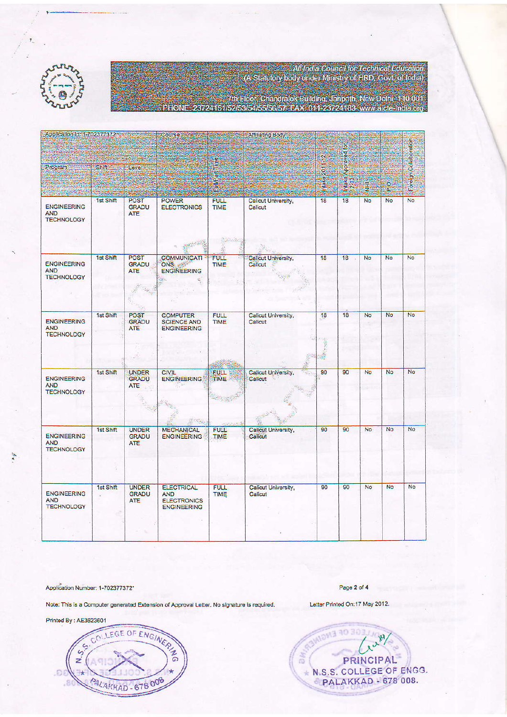All India Council for Technical Education<br>(A Statutory body under Ministry of HRD, Govt, of India)



.<br>23724151/52/53/54/55/56/57, FAX, 011-23724183, www.aicte-India.org<br>23724151/52/53/54/55/56/57, FAX, 011-23724183, www.aicte-India.org

| Application Id: 1-702377372                           |                 | Affiliating Body<br>Course:                |                                                                                 |                                           | B                                    |                 |                                   |           |               |                       |
|-------------------------------------------------------|-----------------|--------------------------------------------|---------------------------------------------------------------------------------|-------------------------------------------|--------------------------------------|-----------------|-----------------------------------|-----------|---------------|-----------------------|
| Program                                               | <b>Shift</b>    | Level                                      |                                                                                 | lime <sub>3</sub><br>듢<br>œ<br><b>RUM</b> |                                      | 2011-12<br>pake | Noblow<br>$rac{9}{5}$ $rac{3}{2}$ | ğ         | $\frac{8}{2}$ | Foreign Collaboration |
| <b>ENGINEERING</b><br><b>AND</b><br><b>TECHNOLOGY</b> | 1st Shift       | <b>POST</b><br><b>GRADU</b><br><b>ATE</b>  | <b>POWER</b><br><b>ELECTRONICS</b>                                              | <b>FULL</b><br>TIME<br>$\frac{1}{2}$      | Calicut University,<br>Calicut       | 18              | 18                                | No        | No            | <b>No</b>             |
|                                                       |                 |                                            |                                                                                 |                                           |                                      |                 |                                   |           |               |                       |
| <b>ENGINEERING</b><br><b>AND</b><br><b>TECHNOLOGY</b> | 1st Shift       | <b>POST</b><br><b>GRADU</b><br><b>ATE</b>  | <b>COMMUNICATI</b><br>ONS 2<br><b>ENGINEERING</b><br>$\overline{\mathcal{L}}$ . | <b>FULL</b><br><b>TIME</b>                | Callcut University,<br>Callcut       | 18              | 18                                | <b>No</b> | <b>No</b>     | <b>No</b>             |
| <b>ENGINEERING</b><br><b>AND</b><br><b>TECHNOLOGY</b> | 1st Shift       | <b>POST</b><br><b>GRADU</b><br><b>ATE</b>  | <b>COMPUTER</b><br><b>SCIENCE AND</b><br><b>ENGINEERING</b>                     | <b>FULL</b><br><b>TIME</b>                | Calicut University,<br>Calicut<br>呼吸 | 18<br>s.        | 18                                | No        | No            | <b>No</b>             |
|                                                       |                 |                                            |                                                                                 |                                           |                                      |                 |                                   |           |               |                       |
| <b>ENGINEERING</b><br><b>AND</b><br><b>TECHNOLOGY</b> | 1st Shift       | <b>UNDER</b><br><b>GRADU</b><br>ATE        | <b>CIVIL</b><br><b>ENGINEERING</b>                                              | <b>FULL</b><br><b>TIME</b><br>كالمنازل    | Calicut University,<br>۰.<br>Calicut | 90              | 90                                | No        | No            | No                    |
| <b>ENGINEERING</b><br><b>AND</b><br><b>TECHNOLOGY</b> | 1st Shift       | <b>UNDER</b><br><b>GRADU</b><br><b>ATE</b> | <b>MECHANICAL</b><br><b>ENGINEERING</b>                                         | <b>FULL</b><br>TIME                       | Calicut University,<br>Calicut       | 90              | 90                                | <b>No</b> | No            | No                    |
|                                                       |                 |                                            |                                                                                 |                                           |                                      |                 |                                   |           |               |                       |
|                                                       |                 |                                            |                                                                                 |                                           |                                      |                 |                                   |           |               |                       |
| <b>ENGINEERING</b><br><b>AND</b><br><b>TECHNOLOGY</b> | 1st Shift<br>×. | <b>UNDER</b><br><b>GRADU</b><br><b>ATE</b> | <b>ELECTRICAL</b><br><b>AND</b><br><b>ELECTRONICS</b><br><b>ENGINEERING</b>     | <b>FULL</b><br>TIME                       | Calicut University,<br>Calicut       | 90              | 90                                | No        | No            | No                    |
|                                                       |                 |                                            |                                                                                 |                                           |                                      |                 |                                   |           |               |                       |

Application Number: 1-702377372\*

Page 2 of 4 Letter Printed On:17 May 2012.

Note: This is a Computer generated Extension of Approval Letter. No signature is required.

Printed By: AE3623601

 $\overline{\mathcal{F}}$